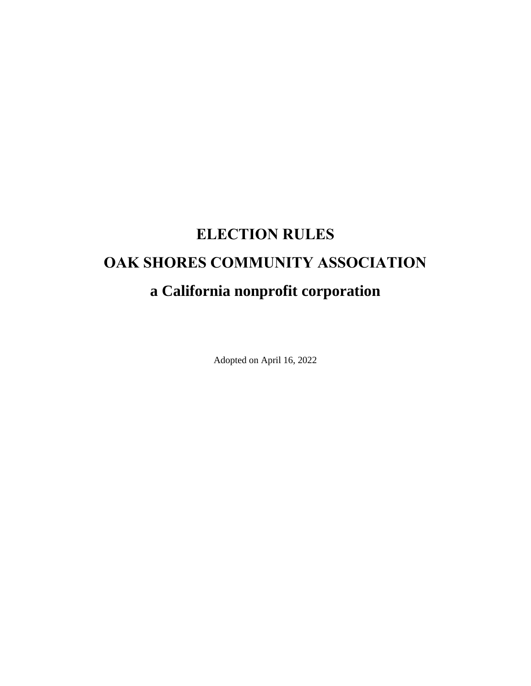# **ELECTION RULES OAK SHORES COMMUNITY ASSOCIATION a California nonprofit corporation**

Adopted on April 16, 2022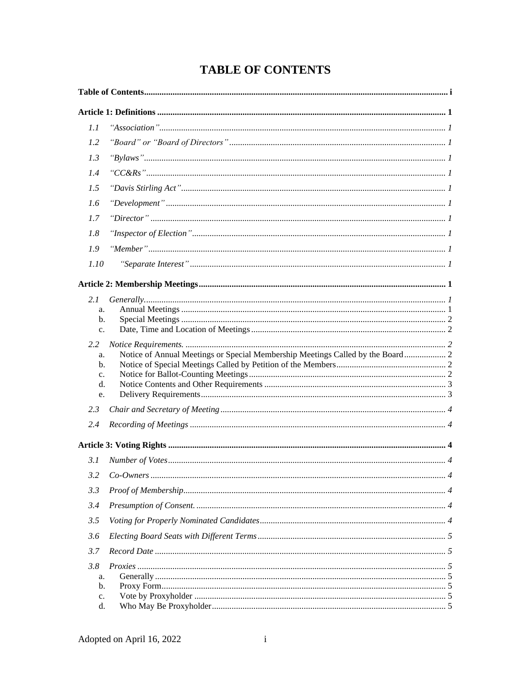# **TABLE OF CONTENTS**

| 1.1                        |                                                                                |  |  |  |
|----------------------------|--------------------------------------------------------------------------------|--|--|--|
| 1.2                        |                                                                                |  |  |  |
| 1.3                        |                                                                                |  |  |  |
| 1.4                        |                                                                                |  |  |  |
| 1.5                        |                                                                                |  |  |  |
| 1.6                        |                                                                                |  |  |  |
| 1.7                        |                                                                                |  |  |  |
| 1.8                        |                                                                                |  |  |  |
| 1.9                        |                                                                                |  |  |  |
| 1.10                       |                                                                                |  |  |  |
|                            |                                                                                |  |  |  |
| 2.1                        |                                                                                |  |  |  |
| a.                         |                                                                                |  |  |  |
| b.                         |                                                                                |  |  |  |
| $C_{\star}$                |                                                                                |  |  |  |
| 2.2                        |                                                                                |  |  |  |
| a.                         | Notice of Annual Meetings or Special Membership Meetings Called by the Board 2 |  |  |  |
| b.                         |                                                                                |  |  |  |
| $c_{\cdot}$<br>$d_{\cdot}$ |                                                                                |  |  |  |
| e.                         |                                                                                |  |  |  |
| 2.3                        |                                                                                |  |  |  |
| 2.4                        |                                                                                |  |  |  |
|                            |                                                                                |  |  |  |
| 3.1                        |                                                                                |  |  |  |
|                            |                                                                                |  |  |  |
| 3.3                        |                                                                                |  |  |  |
| 3.4                        |                                                                                |  |  |  |
| 3.5                        |                                                                                |  |  |  |
| 3.6                        |                                                                                |  |  |  |
| 3.7                        |                                                                                |  |  |  |
| 3.8                        |                                                                                |  |  |  |
| a.                         |                                                                                |  |  |  |
| b.                         |                                                                                |  |  |  |
| $\mathbf{c}$ .             |                                                                                |  |  |  |
| d.                         |                                                                                |  |  |  |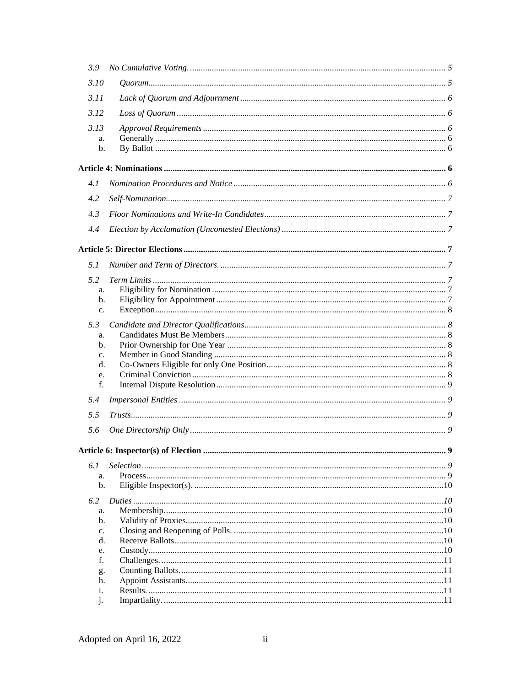| 3.9         |     |
|-------------|-----|
| 3.10        |     |
| 3.11        |     |
| 3.12        |     |
| 3.13        |     |
| a.          |     |
| b.          |     |
|             |     |
| 4.1         |     |
| 4.2         |     |
| 4.3         |     |
| 4.4         |     |
|             |     |
| 5.1         |     |
|             |     |
| 5.2         |     |
| a.<br>b.    |     |
| c.          |     |
| 5.3         |     |
| a.          |     |
| b.          |     |
| $C_{\star}$ |     |
| d.          |     |
| e.          |     |
| f.          |     |
| 5.4         |     |
| 5.5         |     |
| 5.6         |     |
|             | . 9 |
|             |     |
| 6.1         |     |
| a.          |     |
| b.<br>6.2   |     |
| a.          |     |
| b.          |     |
| c.          |     |
| d.          |     |
| e.          |     |
| f.          |     |
| g.          |     |
| h.          |     |
| i.          |     |
| i.          |     |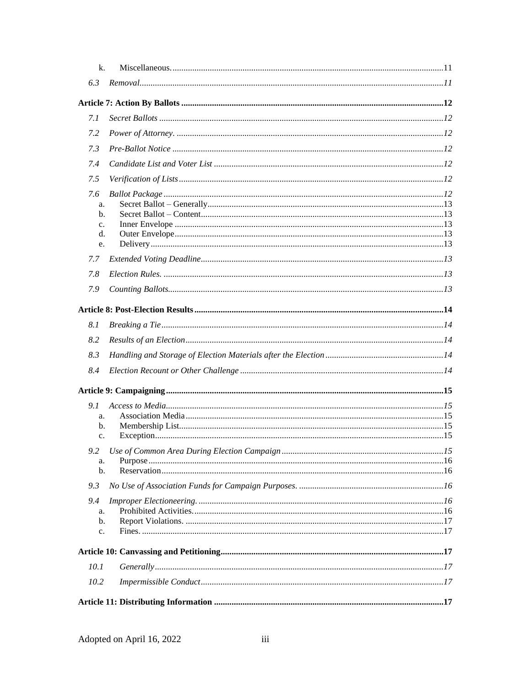| k.            |  |
|---------------|--|
| 6.3           |  |
|               |  |
| 7.1           |  |
| 7.2           |  |
| 7.3           |  |
| 7.4           |  |
| 7.5           |  |
| 7.6           |  |
| a.            |  |
| b.            |  |
| $C_{\bullet}$ |  |
| d.            |  |
| e.            |  |
| 7.7           |  |
| 7.8           |  |
| 7.9           |  |
|               |  |
| 8.1           |  |
| 8.2           |  |
| 8.3           |  |
| 8.4           |  |
|               |  |
| 9.1           |  |
| a.            |  |
| b.            |  |
| $C_{\bullet}$ |  |
|               |  |
| a.            |  |
| $b$           |  |
| 9.3           |  |
| 9.4           |  |
| a.            |  |
| b.            |  |
| c.            |  |
|               |  |
| 10.1          |  |
| 10.2          |  |
|               |  |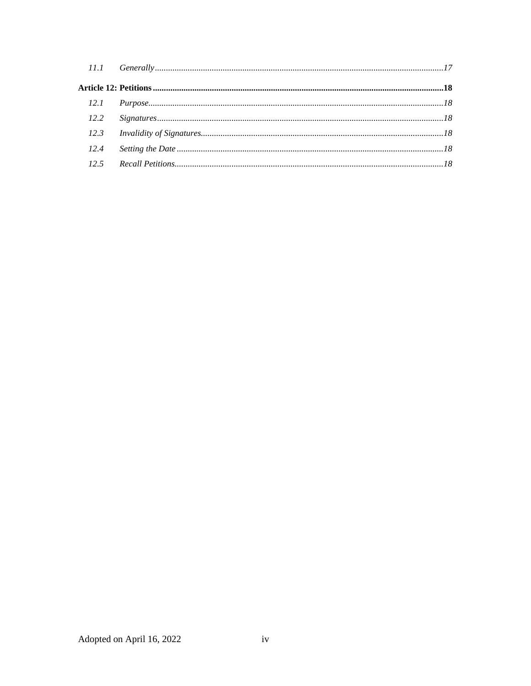| $12.2^{\circ}$ |  |
|----------------|--|
|                |  |
| 12.4           |  |
|                |  |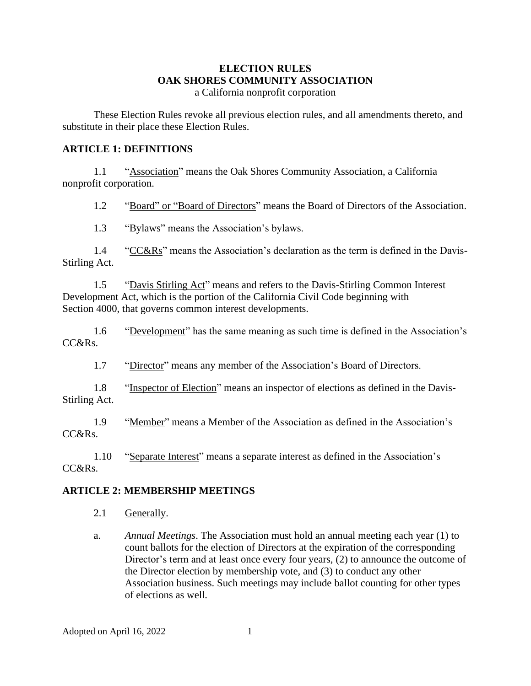# **ELECTION RULES OAK SHORES COMMUNITY ASSOCIATION**

a California nonprofit corporation

These Election Rules revoke all previous election rules, and all amendments thereto, and substitute in their place these Election Rules.

#### **ARTICLE 1: DEFINITIONS**

1.1 "Association" means the Oak Shores Community Association, a California nonprofit corporation.

1.2 "Board" or "Board of Directors" means the Board of Directors of the Association.

1.3 "Bylaws" means the Association's bylaws.

1.4 "CC&Rs" means the Association's declaration as the term is defined in the Davis-Stirling Act.

1.5 "Davis Stirling Act" means and refers to the Davis-Stirling Common Interest Development Act, which is the portion of the California Civil Code beginning with Section 4000, that governs common interest developments.

1.6 "Development" has the same meaning as such time is defined in the Association's CC&Rs.

1.7 "Director" means any member of the Association's Board of Directors.

1.8 "Inspector of Election" means an inspector of elections as defined in the Davis-Stirling Act.

1.9 "Member" means a Member of the Association as defined in the Association's CC&Rs.

1.10 "Separate Interest" means a separate interest as defined in the Association's CC&Rs.

#### **ARTICLE 2: MEMBERSHIP MEETINGS**

- 2.1 Generally.
- a. *Annual Meetings*. The Association must hold an annual meeting each year (1) to count ballots for the election of Directors at the expiration of the corresponding Director's term and at least once every four years, (2) to announce the outcome of the Director election by membership vote, and (3) to conduct any other Association business. Such meetings may include ballot counting for other types of elections as well.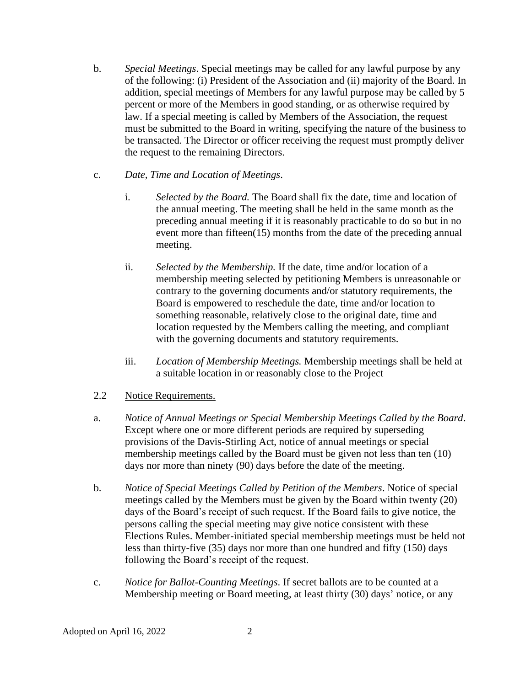- b. *Special Meetings*. Special meetings may be called for any lawful purpose by any of the following: (i) President of the Association and (ii) majority of the Board. In addition, special meetings of Members for any lawful purpose may be called by 5 percent or more of the Members in good standing, or as otherwise required by law. If a special meeting is called by Members of the Association, the request must be submitted to the Board in writing, specifying the nature of the business to be transacted. The Director or officer receiving the request must promptly deliver the request to the remaining Directors.
- c. *Date, Time and Location of Meetings*.
	- i. *Selected by the Board.* The Board shall fix the date, time and location of the annual meeting. The meeting shall be held in the same month as the preceding annual meeting if it is reasonably practicable to do so but in no event more than fifteen(15) months from the date of the preceding annual meeting.
	- ii. *Selected by the Membership.* If the date, time and/or location of a membership meeting selected by petitioning Members is unreasonable or contrary to the governing documents and/or statutory requirements, the Board is empowered to reschedule the date, time and/or location to something reasonable, relatively close to the original date, time and location requested by the Members calling the meeting, and compliant with the governing documents and statutory requirements.
	- iii. *Location of Membership Meetings.* Membership meetings shall be held at a suitable location in or reasonably close to the Project
- 2.2 Notice Requirements.
- a. *Notice of Annual Meetings or Special Membership Meetings Called by the Board*. Except where one or more different periods are required by superseding provisions of the Davis-Stirling Act, notice of annual meetings or special membership meetings called by the Board must be given not less than ten (10) days nor more than ninety (90) days before the date of the meeting.
- b. *Notice of Special Meetings Called by Petition of the Members*. Notice of special meetings called by the Members must be given by the Board within twenty (20) days of the Board's receipt of such request. If the Board fails to give notice, the persons calling the special meeting may give notice consistent with these Elections Rules. Member-initiated special membership meetings must be held not less than thirty-five (35) days nor more than one hundred and fifty (150) days following the Board's receipt of the request.
- c. *Notice for Ballot-Counting Meetings*. If secret ballots are to be counted at a Membership meeting or Board meeting, at least thirty (30) days' notice, or any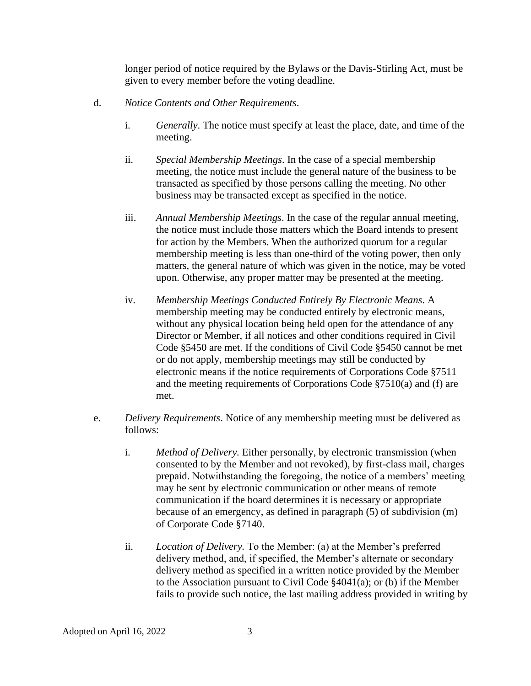longer period of notice required by the Bylaws or the Davis-Stirling Act, must be given to every member before the voting deadline.

- d. *Notice Contents and Other Requirements*.
	- i. *Generally*. The notice must specify at least the place, date, and time of the meeting.
	- ii. *Special Membership Meetings*. In the case of a special membership meeting, the notice must include the general nature of the business to be transacted as specified by those persons calling the meeting. No other business may be transacted except as specified in the notice.
	- iii. *Annual Membership Meetings*. In the case of the regular annual meeting, the notice must include those matters which the Board intends to present for action by the Members. When the authorized quorum for a regular membership meeting is less than one-third of the voting power, then only matters, the general nature of which was given in the notice, may be voted upon. Otherwise, any proper matter may be presented at the meeting.
	- iv. *Membership Meetings Conducted Entirely By Electronic Means*. A membership meeting may be conducted entirely by electronic means, without any physical location being held open for the attendance of any Director or Member, if all notices and other conditions required in Civil Code §5450 are met. If the conditions of Civil Code §5450 cannot be met or do not apply, membership meetings may still be conducted by electronic means if the notice requirements of Corporations Code §7511 and the meeting requirements of Corporations Code §7510(a) and (f) are met.
- e. *Delivery Requirements*. Notice of any membership meeting must be delivered as follows:
	- i. *Method of Delivery.* Either personally, by electronic transmission (when consented to by the Member and not revoked), by first-class mail, charges prepaid. Notwithstanding the foregoing, the notice of a members' meeting may be sent by electronic communication or other means of remote communication if the board determines it is necessary or appropriate because of an emergency, as defined in paragraph (5) of subdivision (m) of Corporate Code §7140.
	- ii. *Location of Delivery.* To the Member: (a) at the Member's preferred delivery method, and, if specified, the Member's alternate or secondary delivery method as specified in a written notice provided by the Member to the Association pursuant to Civil Code §4041(a); or (b) if the Member fails to provide such notice, the last mailing address provided in writing by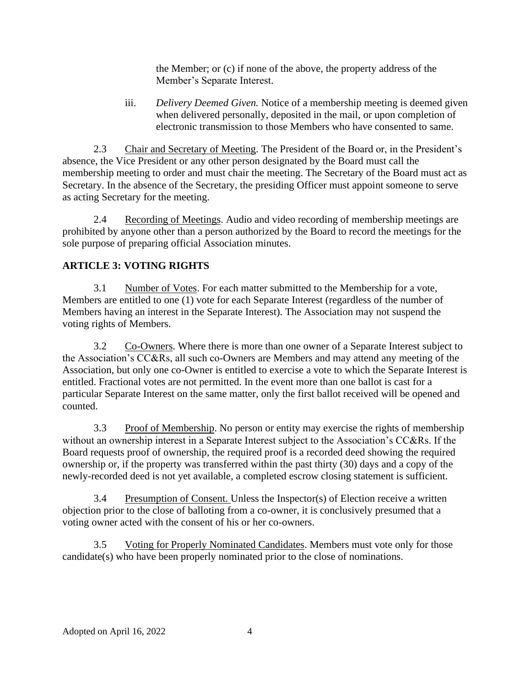the Member; or (c) if none of the above, the property address of the Member's Separate Interest.

iii. *Delivery Deemed Given.* Notice of a membership meeting is deemed given when delivered personally, deposited in the mail, or upon completion of electronic transmission to those Members who have consented to same.

2.3 Chair and Secretary of Meeting. The President of the Board or, in the President's absence, the Vice President or any other person designated by the Board must call the membership meeting to order and must chair the meeting. The Secretary of the Board must act as Secretary. In the absence of the Secretary, the presiding Officer must appoint someone to serve as acting Secretary for the meeting.

2.4 Recording of Meetings. Audio and video recording of membership meetings are prohibited by anyone other than a person authorized by the Board to record the meetings for the sole purpose of preparing official Association minutes.

# **ARTICLE 3: VOTING RIGHTS**

3.1 Number of Votes. For each matter submitted to the Membership for a vote, Members are entitled to one (1) vote for each Separate Interest (regardless of the number of Members having an interest in the Separate Interest). The Association may not suspend the voting rights of Members.

3.2 Co-Owners. Where there is more than one owner of a Separate Interest subject to the Association's CC&Rs, all such co-Owners are Members and may attend any meeting of the Association, but only one co-Owner is entitled to exercise a vote to which the Separate Interest is entitled. Fractional votes are not permitted. In the event more than one ballot is cast for a particular Separate Interest on the same matter, only the first ballot received will be opened and counted.

3.3 Proof of Membership. No person or entity may exercise the rights of membership without an ownership interest in a Separate Interest subject to the Association's CC&Rs. If the Board requests proof of ownership, the required proof is a recorded deed showing the required ownership or, if the property was transferred within the past thirty (30) days and a copy of the newly-recorded deed is not yet available, a completed escrow closing statement is sufficient.

3.4 Presumption of Consent. Unless the Inspector(s) of Election receive a written objection prior to the close of balloting from a co-owner, it is conclusively presumed that a voting owner acted with the consent of his or her co-owners.

3.5 Voting for Properly Nominated Candidates. Members must vote only for those candidate(s) who have been properly nominated prior to the close of nominations.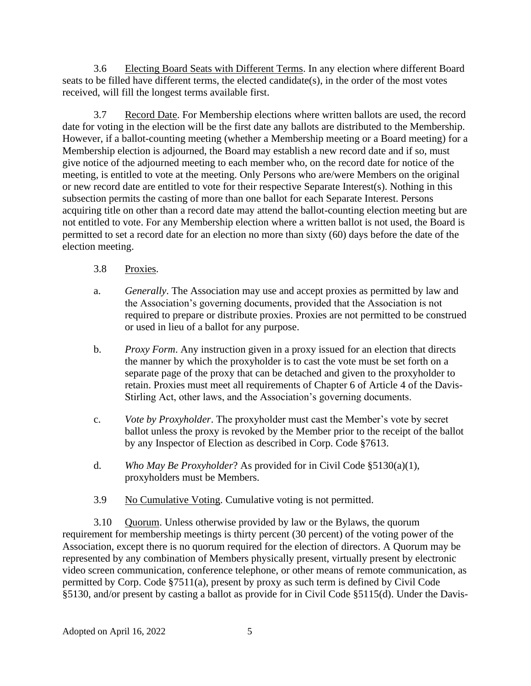3.6 Electing Board Seats with Different Terms. In any election where different Board seats to be filled have different terms, the elected candidate(s), in the order of the most votes received, will fill the longest terms available first.

3.7 Record Date. For Membership elections where written ballots are used, the record date for voting in the election will be the first date any ballots are distributed to the Membership. However, if a ballot-counting meeting (whether a Membership meeting or a Board meeting) for a Membership election is adjourned, the Board may establish a new record date and if so, must give notice of the adjourned meeting to each member who, on the record date for notice of the meeting, is entitled to vote at the meeting. Only Persons who are/were Members on the original or new record date are entitled to vote for their respective Separate Interest(s). Nothing in this subsection permits the casting of more than one ballot for each Separate Interest. Persons acquiring title on other than a record date may attend the ballot-counting election meeting but are not entitled to vote. For any Membership election where a written ballot is not used, the Board is permitted to set a record date for an election no more than sixty (60) days before the date of the election meeting.

- 3.8 Proxies.
- a. *Generally*. The Association may use and accept proxies as permitted by law and the Association's governing documents, provided that the Association is not required to prepare or distribute proxies. Proxies are not permitted to be construed or used in lieu of a ballot for any purpose.
- b. *Proxy Form*. Any instruction given in a proxy issued for an election that directs the manner by which the proxyholder is to cast the vote must be set forth on a separate page of the proxy that can be detached and given to the proxyholder to retain. Proxies must meet all requirements of Chapter 6 of Article 4 of the Davis-Stirling Act, other laws, and the Association's governing documents.
- c. *Vote by Proxyholder*. The proxyholder must cast the Member's vote by secret ballot unless the proxy is revoked by the Member prior to the receipt of the ballot by any Inspector of Election as described in Corp. Code §7613.
- d. *Who May Be Proxyholder*? As provided for in Civil Code §5130(a)(1), proxyholders must be Members.
- 3.9 No Cumulative Voting. Cumulative voting is not permitted.

3.10 Quorum. Unless otherwise provided by law or the Bylaws, the quorum requirement for membership meetings is thirty percent (30 percent) of the voting power of the Association, except there is no quorum required for the election of directors. A Quorum may be represented by any combination of Members physically present, virtually present by electronic video screen communication, conference telephone, or other means of remote communication, as permitted by Corp. Code §7511(a), present by proxy as such term is defined by Civil Code §5130, and/or present by casting a ballot as provide for in Civil Code §5115(d). Under the Davis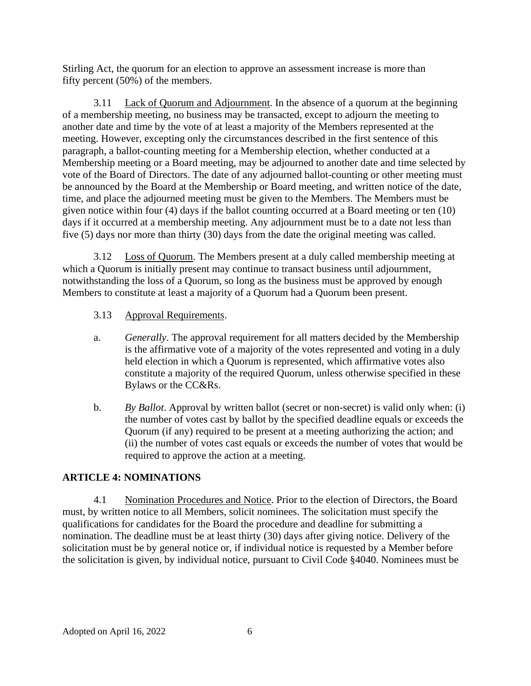Stirling Act, the quorum for an election to approve an assessment increase is more than fifty percent (50%) of the members.

3.11 Lack of Quorum and Adjournment. In the absence of a quorum at the beginning of a membership meeting, no business may be transacted, except to adjourn the meeting to another date and time by the vote of at least a majority of the Members represented at the meeting. However, excepting only the circumstances described in the first sentence of this paragraph, a ballot-counting meeting for a Membership election, whether conducted at a Membership meeting or a Board meeting, may be adjourned to another date and time selected by vote of the Board of Directors. The date of any adjourned ballot-counting or other meeting must be announced by the Board at the Membership or Board meeting, and written notice of the date, time, and place the adjourned meeting must be given to the Members. The Members must be given notice within four (4) days if the ballot counting occurred at a Board meeting or ten (10) days if it occurred at a membership meeting. Any adjournment must be to a date not less than five (5) days nor more than thirty (30) days from the date the original meeting was called.

3.12 Loss of Quorum. The Members present at a duly called membership meeting at which a Quorum is initially present may continue to transact business until adjournment, notwithstanding the loss of a Quorum, so long as the business must be approved by enough Members to constitute at least a majority of a Quorum had a Quorum been present.

- 3.13 Approval Requirements.
- a. *Generally*. The approval requirement for all matters decided by the Membership is the affirmative vote of a majority of the votes represented and voting in a duly held election in which a Quorum is represented, which affirmative votes also constitute a majority of the required Quorum, unless otherwise specified in these Bylaws or the CC&Rs.
- b. *By Ballot*. Approval by written ballot (secret or non-secret) is valid only when: (i) the number of votes cast by ballot by the specified deadline equals or exceeds the Quorum (if any) required to be present at a meeting authorizing the action; and (ii) the number of votes cast equals or exceeds the number of votes that would be required to approve the action at a meeting.

#### **ARTICLE 4: NOMINATIONS**

4.1 Nomination Procedures and Notice. Prior to the election of Directors, the Board must, by written notice to all Members, solicit nominees. The solicitation must specify the qualifications for candidates for the Board the procedure and deadline for submitting a nomination. The deadline must be at least thirty (30) days after giving notice. Delivery of the solicitation must be by general notice or, if individual notice is requested by a Member before the solicitation is given, by individual notice, pursuant to Civil Code §4040. Nominees must be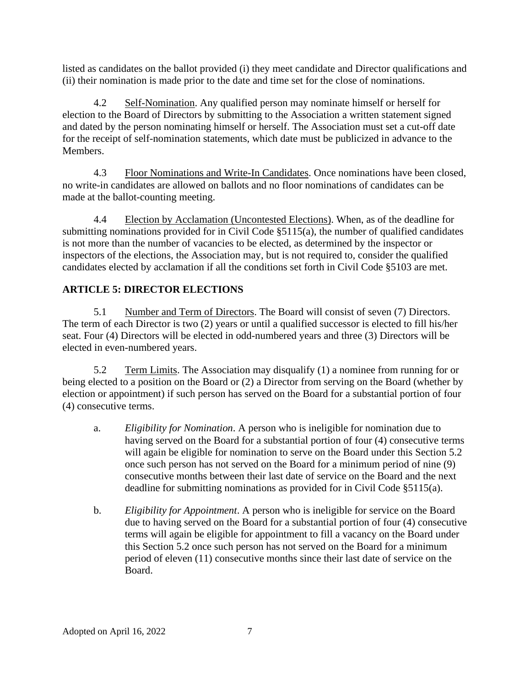listed as candidates on the ballot provided (i) they meet candidate and Director qualifications and (ii) their nomination is made prior to the date and time set for the close of nominations.

4.2 Self-Nomination. Any qualified person may nominate himself or herself for election to the Board of Directors by submitting to the Association a written statement signed and dated by the person nominating himself or herself. The Association must set a cut-off date for the receipt of self-nomination statements, which date must be publicized in advance to the Members.

4.3 Floor Nominations and Write-In Candidates. Once nominations have been closed, no write-in candidates are allowed on ballots and no floor nominations of candidates can be made at the ballot-counting meeting.

4.4 Election by Acclamation (Uncontested Elections). When, as of the deadline for submitting nominations provided for in Civil Code  $\S$ 5115(a), the number of qualified candidates is not more than the number of vacancies to be elected, as determined by the inspector or inspectors of the elections, the Association may, but is not required to, consider the qualified candidates elected by acclamation if all the conditions set forth in Civil Code §5103 are met.

# **ARTICLE 5: DIRECTOR ELECTIONS**

5.1 Number and Term of Directors. The Board will consist of seven (7) Directors. The term of each Director is two (2) years or until a qualified successor is elected to fill his/her seat. Four (4) Directors will be elected in odd-numbered years and three (3) Directors will be elected in even-numbered years.

5.2 Term Limits. The Association may disqualify (1) a nominee from running for or being elected to a position on the Board or (2) a Director from serving on the Board (whether by election or appointment) if such person has served on the Board for a substantial portion of four (4) consecutive terms.

- a. *Eligibility for Nomination*. A person who is ineligible for nomination due to having served on the Board for a substantial portion of four (4) consecutive terms will again be eligible for nomination to serve on the Board under this Section 5.2 once such person has not served on the Board for a minimum period of nine (9) consecutive months between their last date of service on the Board and the next deadline for submitting nominations as provided for in Civil Code §5115(a).
- b. *Eligibility for Appointment*. A person who is ineligible for service on the Board due to having served on the Board for a substantial portion of four (4) consecutive terms will again be eligible for appointment to fill a vacancy on the Board under this Section 5.2 once such person has not served on the Board for a minimum period of eleven (11) consecutive months since their last date of service on the Board.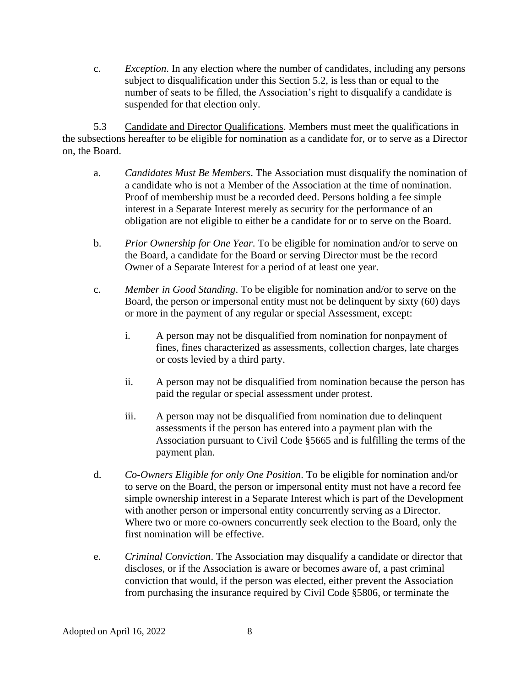c. *Exception*. In any election where the number of candidates, including any persons subject to disqualification under this Section 5.2, is less than or equal to the number of seats to be filled, the Association's right to disqualify a candidate is suspended for that election only.

5.3 Candidate and Director Qualifications. Members must meet the qualifications in the subsections hereafter to be eligible for nomination as a candidate for, or to serve as a Director on, the Board.

- a. *Candidates Must Be Members*. The Association must disqualify the nomination of a candidate who is not a Member of the Association at the time of nomination. Proof of membership must be a recorded deed. Persons holding a fee simple interest in a Separate Interest merely as security for the performance of an obligation are not eligible to either be a candidate for or to serve on the Board.
- b. *Prior Ownership for One Year*. To be eligible for nomination and/or to serve on the Board, a candidate for the Board or serving Director must be the record Owner of a Separate Interest for a period of at least one year.
- c. *Member in Good Standing*. To be eligible for nomination and/or to serve on the Board, the person or impersonal entity must not be delinquent by sixty (60) days or more in the payment of any regular or special Assessment, except:
	- i. A person may not be disqualified from nomination for nonpayment of fines, fines characterized as assessments, collection charges, late charges or costs levied by a third party.
	- ii. A person may not be disqualified from nomination because the person has paid the regular or special assessment under protest.
	- iii. A person may not be disqualified from nomination due to delinquent assessments if the person has entered into a payment plan with the Association pursuant to Civil Code §5665 and is fulfilling the terms of the payment plan.
- d. *Co-Owners Eligible for only One Position*. To be eligible for nomination and/or to serve on the Board, the person or impersonal entity must not have a record fee simple ownership interest in a Separate Interest which is part of the Development with another person or impersonal entity concurrently serving as a Director. Where two or more co-owners concurrently seek election to the Board, only the first nomination will be effective.
- e. *Criminal Conviction*. The Association may disqualify a candidate or director that discloses, or if the Association is aware or becomes aware of, a past criminal conviction that would, if the person was elected, either prevent the Association from purchasing the insurance required by Civil Code §5806, or terminate the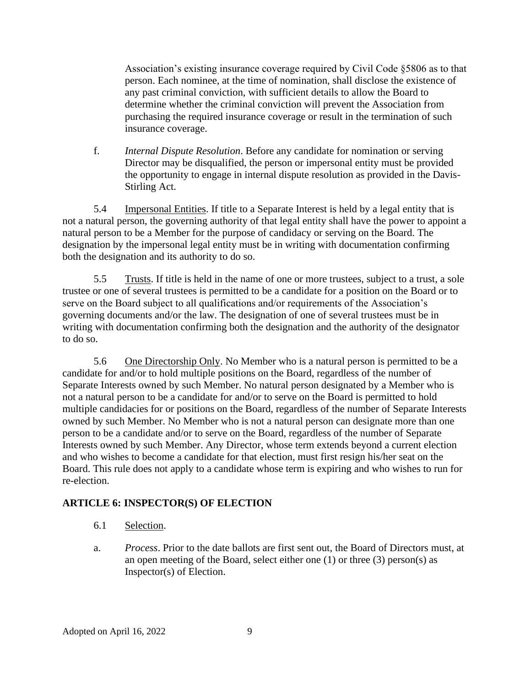Association's existing insurance coverage required by Civil Code §5806 as to that person. Each nominee, at the time of nomination, shall disclose the existence of any past criminal conviction, with sufficient details to allow the Board to determine whether the criminal conviction will prevent the Association from purchasing the required insurance coverage or result in the termination of such insurance coverage.

f. *Internal Dispute Resolution*. Before any candidate for nomination or serving Director may be disqualified, the person or impersonal entity must be provided the opportunity to engage in internal dispute resolution as provided in the Davis-Stirling Act.

5.4 Impersonal Entities. If title to a Separate Interest is held by a legal entity that is not a natural person, the governing authority of that legal entity shall have the power to appoint a natural person to be a Member for the purpose of candidacy or serving on the Board. The designation by the impersonal legal entity must be in writing with documentation confirming both the designation and its authority to do so.

5.5 Trusts. If title is held in the name of one or more trustees, subject to a trust, a sole trustee or one of several trustees is permitted to be a candidate for a position on the Board or to serve on the Board subject to all qualifications and/or requirements of the Association's governing documents and/or the law. The designation of one of several trustees must be in writing with documentation confirming both the designation and the authority of the designator to do so.

5.6 One Directorship Only. No Member who is a natural person is permitted to be a candidate for and/or to hold multiple positions on the Board, regardless of the number of Separate Interests owned by such Member. No natural person designated by a Member who is not a natural person to be a candidate for and/or to serve on the Board is permitted to hold multiple candidacies for or positions on the Board, regardless of the number of Separate Interests owned by such Member. No Member who is not a natural person can designate more than one person to be a candidate and/or to serve on the Board, regardless of the number of Separate Interests owned by such Member. Any Director, whose term extends beyond a current election and who wishes to become a candidate for that election, must first resign his/her seat on the Board. This rule does not apply to a candidate whose term is expiring and who wishes to run for re-election.

# **ARTICLE 6: INSPECTOR(S) OF ELECTION**

- 6.1 Selection.
- a. *Process*. Prior to the date ballots are first sent out, the Board of Directors must, at an open meeting of the Board, select either one (1) or three (3) person(s) as Inspector(s) of Election.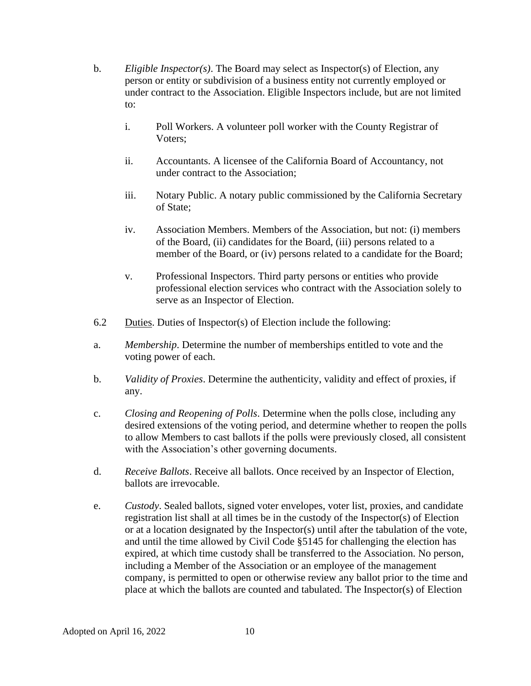- b. *Eligible Inspector(s)*. The Board may select as Inspector(s) of Election, any person or entity or subdivision of a business entity not currently employed or under contract to the Association. Eligible Inspectors include, but are not limited to:
	- i. Poll Workers. A volunteer poll worker with the County Registrar of Voters;
	- ii. Accountants. A licensee of the California Board of Accountancy, not under contract to the Association;
	- iii. Notary Public. A notary public commissioned by the California Secretary of State;
	- iv. Association Members. Members of the Association, but not: (i) members of the Board, (ii) candidates for the Board, (iii) persons related to a member of the Board, or (iv) persons related to a candidate for the Board;
	- v. Professional Inspectors. Third party persons or entities who provide professional election services who contract with the Association solely to serve as an Inspector of Election.
- 6.2 Duties. Duties of Inspector(s) of Election include the following:
- a. *Membership*. Determine the number of memberships entitled to vote and the voting power of each.
- b. *Validity of Proxies*. Determine the authenticity, validity and effect of proxies, if any.
- c. *Closing and Reopening of Polls*. Determine when the polls close, including any desired extensions of the voting period, and determine whether to reopen the polls to allow Members to cast ballots if the polls were previously closed, all consistent with the Association's other governing documents.
- d. *Receive Ballots*. Receive all ballots. Once received by an Inspector of Election, ballots are irrevocable.
- e. *Custody*. Sealed ballots, signed voter envelopes, voter list, proxies, and candidate registration list shall at all times be in the custody of the Inspector(s) of Election or at a location designated by the Inspector(s) until after the tabulation of the vote, and until the time allowed by Civil Code §5145 for challenging the election has expired, at which time custody shall be transferred to the Association. No person, including a Member of the Association or an employee of the management company, is permitted to open or otherwise review any ballot prior to the time and place at which the ballots are counted and tabulated. The Inspector(s) of Election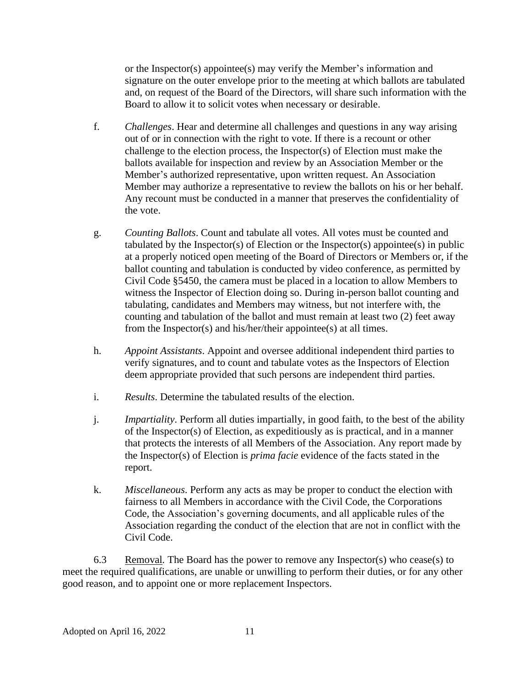or the Inspector(s) appointee(s) may verify the Member's information and signature on the outer envelope prior to the meeting at which ballots are tabulated and, on request of the Board of the Directors, will share such information with the Board to allow it to solicit votes when necessary or desirable.

- f. *Challenges*. Hear and determine all challenges and questions in any way arising out of or in connection with the right to vote. If there is a recount or other challenge to the election process, the Inspector(s) of Election must make the ballots available for inspection and review by an Association Member or the Member's authorized representative, upon written request. An Association Member may authorize a representative to review the ballots on his or her behalf. Any recount must be conducted in a manner that preserves the confidentiality of the vote.
- g. *Counting Ballots*. Count and tabulate all votes. All votes must be counted and tabulated by the Inspector(s) of Election or the Inspector(s) appointee(s) in public at a properly noticed open meeting of the Board of Directors or Members or, if the ballot counting and tabulation is conducted by video conference, as permitted by Civil Code §5450, the camera must be placed in a location to allow Members to witness the Inspector of Election doing so. During in-person ballot counting and tabulating, candidates and Members may witness, but not interfere with, the counting and tabulation of the ballot and must remain at least two (2) feet away from the Inspector(s) and his/her/their appointee(s) at all times.
- h. *Appoint Assistants*. Appoint and oversee additional independent third parties to verify signatures, and to count and tabulate votes as the Inspectors of Election deem appropriate provided that such persons are independent third parties.
- i. *Results*. Determine the tabulated results of the election.
- j. *Impartiality*. Perform all duties impartially, in good faith, to the best of the ability of the Inspector(s) of Election, as expeditiously as is practical, and in a manner that protects the interests of all Members of the Association. Any report made by the Inspector(s) of Election is *prima facie* evidence of the facts stated in the report.
- k. *Miscellaneous*. Perform any acts as may be proper to conduct the election with fairness to all Members in accordance with the Civil Code, the Corporations Code, the Association's governing documents, and all applicable rules of the Association regarding the conduct of the election that are not in conflict with the Civil Code.

6.3 Removal. The Board has the power to remove any Inspector(s) who cease(s) to meet the required qualifications, are unable or unwilling to perform their duties, or for any other good reason, and to appoint one or more replacement Inspectors.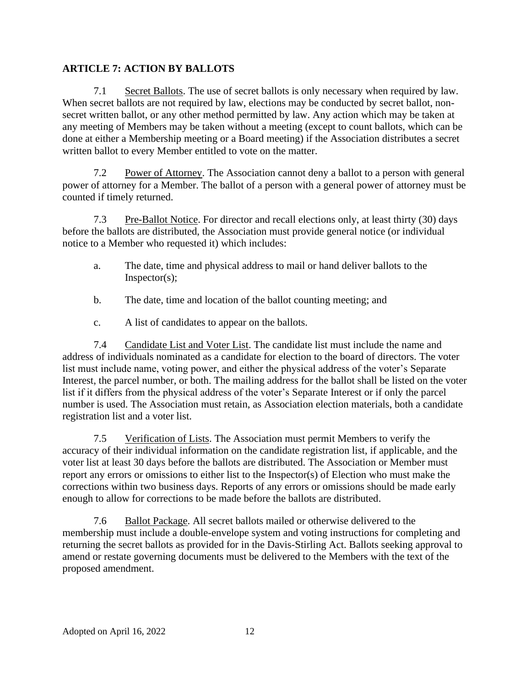# **ARTICLE 7: ACTION BY BALLOTS**

7.1 Secret Ballots. The use of secret ballots is only necessary when required by law. When secret ballots are not required by law, elections may be conducted by secret ballot, nonsecret written ballot, or any other method permitted by law. Any action which may be taken at any meeting of Members may be taken without a meeting (except to count ballots, which can be done at either a Membership meeting or a Board meeting) if the Association distributes a secret written ballot to every Member entitled to vote on the matter.

7.2 Power of Attorney. The Association cannot deny a ballot to a person with general power of attorney for a Member. The ballot of a person with a general power of attorney must be counted if timely returned.

7.3 Pre-Ballot Notice. For director and recall elections only, at least thirty (30) days before the ballots are distributed, the Association must provide general notice (or individual notice to a Member who requested it) which includes:

- a. The date, time and physical address to mail or hand deliver ballots to the Inspector(s);
- b. The date, time and location of the ballot counting meeting; and
- c. A list of candidates to appear on the ballots.

7.4 Candidate List and Voter List. The candidate list must include the name and address of individuals nominated as a candidate for election to the board of directors. The voter list must include name, voting power, and either the physical address of the voter's Separate Interest, the parcel number, or both. The mailing address for the ballot shall be listed on the voter list if it differs from the physical address of the voter's Separate Interest or if only the parcel number is used. The Association must retain, as Association election materials, both a candidate registration list and a voter list.

7.5 Verification of Lists. The Association must permit Members to verify the accuracy of their individual information on the candidate registration list, if applicable, and the voter list at least 30 days before the ballots are distributed. The Association or Member must report any errors or omissions to either list to the Inspector(s) of Election who must make the corrections within two business days. Reports of any errors or omissions should be made early enough to allow for corrections to be made before the ballots are distributed.

7.6 Ballot Package. All secret ballots mailed or otherwise delivered to the membership must include a double-envelope system and voting instructions for completing and returning the secret ballots as provided for in the Davis-Stirling Act. Ballots seeking approval to amend or restate governing documents must be delivered to the Members with the text of the proposed amendment.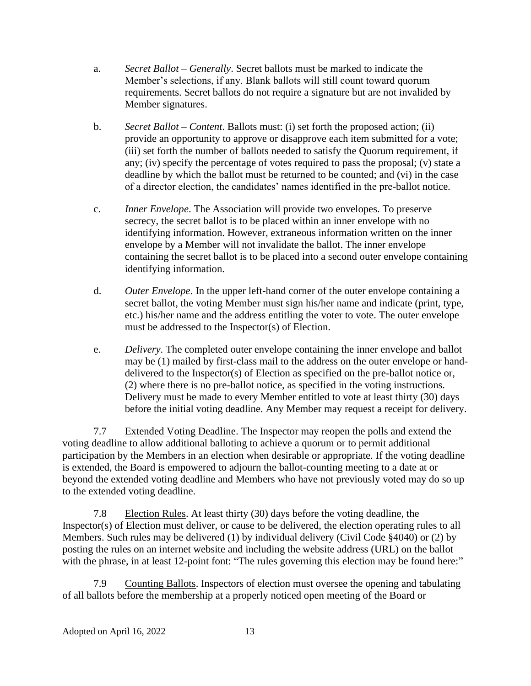- a. *Secret Ballot – Generally*. Secret ballots must be marked to indicate the Member's selections, if any. Blank ballots will still count toward quorum requirements. Secret ballots do not require a signature but are not invalided by Member signatures.
- b. *Secret Ballot – Content*. Ballots must: (i) set forth the proposed action; (ii) provide an opportunity to approve or disapprove each item submitted for a vote; (iii) set forth the number of ballots needed to satisfy the Quorum requirement, if any; (iv) specify the percentage of votes required to pass the proposal; (v) state a deadline by which the ballot must be returned to be counted; and (vi) in the case of a director election, the candidates' names identified in the pre-ballot notice.
- c. *Inner Envelope*. The Association will provide two envelopes. To preserve secrecy, the secret ballot is to be placed within an inner envelope with no identifying information. However, extraneous information written on the inner envelope by a Member will not invalidate the ballot. The inner envelope containing the secret ballot is to be placed into a second outer envelope containing identifying information.
- d. *Outer Envelope*. In the upper left-hand corner of the outer envelope containing a secret ballot, the voting Member must sign his/her name and indicate (print, type, etc.) his/her name and the address entitling the voter to vote. The outer envelope must be addressed to the Inspector(s) of Election.
- e. *Delivery*. The completed outer envelope containing the inner envelope and ballot may be (1) mailed by first-class mail to the address on the outer envelope or handdelivered to the Inspector(s) of Election as specified on the pre-ballot notice or, (2) where there is no pre-ballot notice, as specified in the voting instructions. Delivery must be made to every Member entitled to vote at least thirty (30) days before the initial voting deadline. Any Member may request a receipt for delivery.

7.7 Extended Voting Deadline. The Inspector may reopen the polls and extend the voting deadline to allow additional balloting to achieve a quorum or to permit additional participation by the Members in an election when desirable or appropriate. If the voting deadline is extended, the Board is empowered to adjourn the ballot-counting meeting to a date at or beyond the extended voting deadline and Members who have not previously voted may do so up to the extended voting deadline.

7.8 Election Rules. At least thirty (30) days before the voting deadline, the Inspector(s) of Election must deliver, or cause to be delivered, the election operating rules to all Members. Such rules may be delivered (1) by individual delivery (Civil Code §4040) or (2) by posting the rules on an internet website and including the website address (URL) on the ballot with the phrase, in at least 12-point font: "The rules governing this election may be found here:"

7.9 Counting Ballots. Inspectors of election must oversee the opening and tabulating of all ballots before the membership at a properly noticed open meeting of the Board or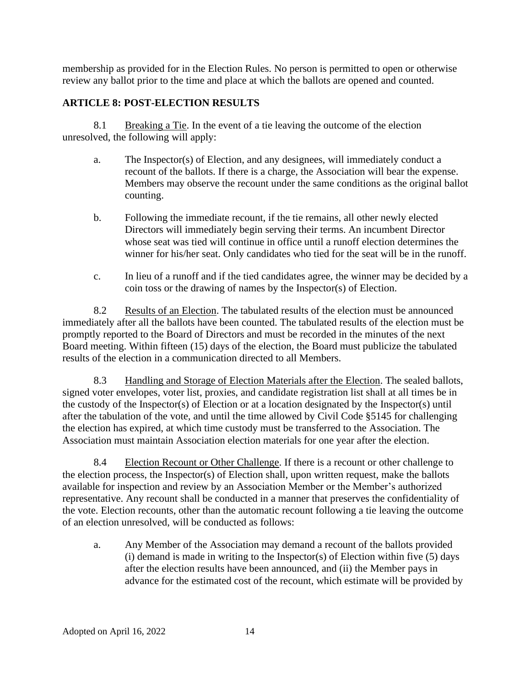membership as provided for in the Election Rules. No person is permitted to open or otherwise review any ballot prior to the time and place at which the ballots are opened and counted.

# **ARTICLE 8: POST-ELECTION RESULTS**

8.1 Breaking a Tie. In the event of a tie leaving the outcome of the election unresolved, the following will apply:

- a. The Inspector(s) of Election, and any designees, will immediately conduct a recount of the ballots. If there is a charge, the Association will bear the expense. Members may observe the recount under the same conditions as the original ballot counting.
- b. Following the immediate recount, if the tie remains, all other newly elected Directors will immediately begin serving their terms. An incumbent Director whose seat was tied will continue in office until a runoff election determines the winner for his/her seat. Only candidates who tied for the seat will be in the runoff.
- c. In lieu of a runoff and if the tied candidates agree, the winner may be decided by a coin toss or the drawing of names by the Inspector(s) of Election.

8.2 Results of an Election. The tabulated results of the election must be announced immediately after all the ballots have been counted. The tabulated results of the election must be promptly reported to the Board of Directors and must be recorded in the minutes of the next Board meeting. Within fifteen (15) days of the election, the Board must publicize the tabulated results of the election in a communication directed to all Members.

8.3 Handling and Storage of Election Materials after the Election. The sealed ballots, signed voter envelopes, voter list, proxies, and candidate registration list shall at all times be in the custody of the Inspector(s) of Election or at a location designated by the Inspector(s) until after the tabulation of the vote, and until the time allowed by Civil Code §5145 for challenging the election has expired, at which time custody must be transferred to the Association. The Association must maintain Association election materials for one year after the election.

8.4 Election Recount or Other Challenge. If there is a recount or other challenge to the election process, the Inspector(s) of Election shall, upon written request, make the ballots available for inspection and review by an Association Member or the Member's authorized representative. Any recount shall be conducted in a manner that preserves the confidentiality of the vote. Election recounts, other than the automatic recount following a tie leaving the outcome of an election unresolved, will be conducted as follows:

a. Any Member of the Association may demand a recount of the ballots provided (i) demand is made in writing to the Inspector(s) of Election within five  $(5)$  days after the election results have been announced, and (ii) the Member pays in advance for the estimated cost of the recount, which estimate will be provided by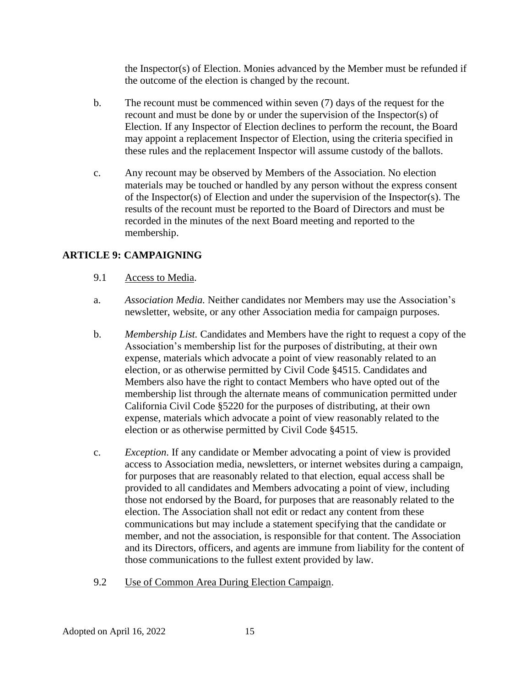the Inspector(s) of Election. Monies advanced by the Member must be refunded if the outcome of the election is changed by the recount.

- b. The recount must be commenced within seven (7) days of the request for the recount and must be done by or under the supervision of the Inspector(s) of Election. If any Inspector of Election declines to perform the recount, the Board may appoint a replacement Inspector of Election, using the criteria specified in these rules and the replacement Inspector will assume custody of the ballots.
- c. Any recount may be observed by Members of the Association. No election materials may be touched or handled by any person without the express consent of the Inspector(s) of Election and under the supervision of the Inspector(s). The results of the recount must be reported to the Board of Directors and must be recorded in the minutes of the next Board meeting and reported to the membership.

# **ARTICLE 9: CAMPAIGNING**

- 9.1 Access to Media.
- a. *Association Media.* Neither candidates nor Members may use the Association's newsletter, website, or any other Association media for campaign purposes.
- b. *Membership List.* Candidates and Members have the right to request a copy of the Association's membership list for the purposes of distributing, at their own expense, materials which advocate a point of view reasonably related to an election, or as otherwise permitted by Civil Code §4515. Candidates and Members also have the right to contact Members who have opted out of the membership list through the alternate means of communication permitted under California Civil Code §5220 for the purposes of distributing, at their own expense, materials which advocate a point of view reasonably related to the election or as otherwise permitted by Civil Code §4515.
- c. *Exception*. If any candidate or Member advocating a point of view is provided access to Association media, newsletters, or internet websites during a campaign, for purposes that are reasonably related to that election, equal access shall be provided to all candidates and Members advocating a point of view, including those not endorsed by the Board, for purposes that are reasonably related to the election. The Association shall not edit or redact any content from these communications but may include a statement specifying that the candidate or member, and not the association, is responsible for that content. The Association and its Directors, officers, and agents are immune from liability for the content of those communications to the fullest extent provided by law.
- 9.2 Use of Common Area During Election Campaign.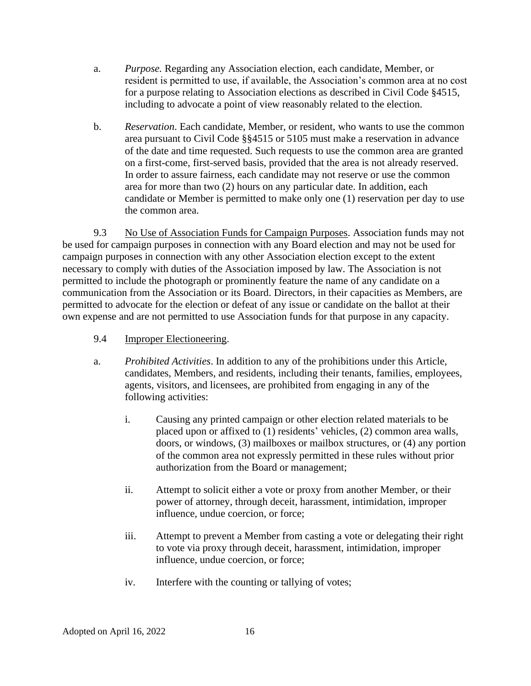- a. *Purpose.* Regarding any Association election, each candidate, Member, or resident is permitted to use, if available, the Association's common area at no cost for a purpose relating to Association elections as described in Civil Code §4515, including to advocate a point of view reasonably related to the election.
- b. *Reservation*. Each candidate, Member, or resident, who wants to use the common area pursuant to Civil Code §§4515 or 5105 must make a reservation in advance of the date and time requested. Such requests to use the common area are granted on a first-come, first-served basis, provided that the area is not already reserved. In order to assure fairness, each candidate may not reserve or use the common area for more than two (2) hours on any particular date. In addition, each candidate or Member is permitted to make only one (1) reservation per day to use the common area.

9.3 No Use of Association Funds for Campaign Purposes. Association funds may not be used for campaign purposes in connection with any Board election and may not be used for campaign purposes in connection with any other Association election except to the extent necessary to comply with duties of the Association imposed by law. The Association is not permitted to include the photograph or prominently feature the name of any candidate on a communication from the Association or its Board. Directors, in their capacities as Members, are permitted to advocate for the election or defeat of any issue or candidate on the ballot at their own expense and are not permitted to use Association funds for that purpose in any capacity.

- 9.4 Improper Electioneering.
- a. *Prohibited Activities*. In addition to any of the prohibitions under this Article, candidates, Members, and residents, including their tenants, families, employees, agents, visitors, and licensees, are prohibited from engaging in any of the following activities:
	- i. Causing any printed campaign or other election related materials to be placed upon or affixed to (1) residents' vehicles, (2) common area walls, doors, or windows, (3) mailboxes or mailbox structures, or (4) any portion of the common area not expressly permitted in these rules without prior authorization from the Board or management;
	- ii. Attempt to solicit either a vote or proxy from another Member, or their power of attorney, through deceit, harassment, intimidation, improper influence, undue coercion, or force;
	- iii. Attempt to prevent a Member from casting a vote or delegating their right to vote via proxy through deceit, harassment, intimidation, improper influence, undue coercion, or force;
	- iv. Interfere with the counting or tallying of votes;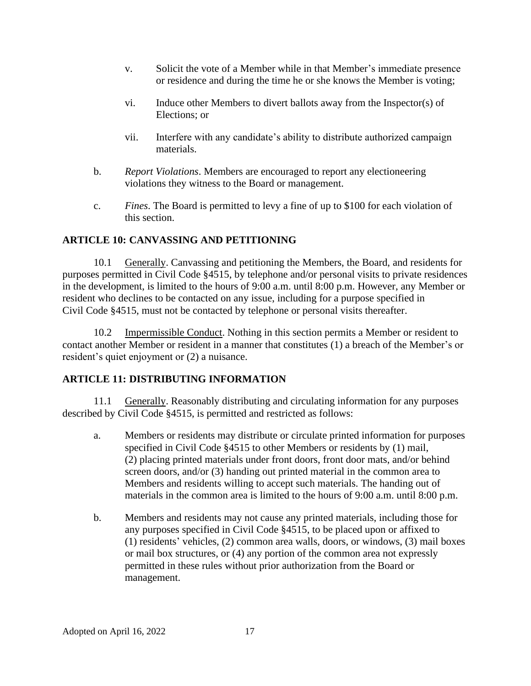- v. Solicit the vote of a Member while in that Member's immediate presence or residence and during the time he or she knows the Member is voting;
- vi. Induce other Members to divert ballots away from the Inspector(s) of Elections; or
- vii. Interfere with any candidate's ability to distribute authorized campaign materials.
- b. *Report Violations*. Members are encouraged to report any electioneering violations they witness to the Board or management.
- c. *Fines*. The Board is permitted to levy a fine of up to \$100 for each violation of this section.

#### **ARTICLE 10: CANVASSING AND PETITIONING**

10.1 Generally. Canvassing and petitioning the Members, the Board, and residents for purposes permitted in Civil Code §4515, by telephone and/or personal visits to private residences in the development, is limited to the hours of 9:00 a.m. until 8:00 p.m. However, any Member or resident who declines to be contacted on any issue, including for a purpose specified in Civil Code §4515, must not be contacted by telephone or personal visits thereafter.

10.2 Impermissible Conduct. Nothing in this section permits a Member or resident to contact another Member or resident in a manner that constitutes (1) a breach of the Member's or resident's quiet enjoyment or (2) a nuisance.

#### **ARTICLE 11: DISTRIBUTING INFORMATION**

11.1 Generally. Reasonably distributing and circulating information for any purposes described by Civil Code §4515, is permitted and restricted as follows:

- a. Members or residents may distribute or circulate printed information for purposes specified in Civil Code §4515 to other Members or residents by (1) mail, (2) placing printed materials under front doors, front door mats, and/or behind screen doors, and/or (3) handing out printed material in the common area to Members and residents willing to accept such materials. The handing out of materials in the common area is limited to the hours of 9:00 a.m. until 8:00 p.m.
- b. Members and residents may not cause any printed materials, including those for any purposes specified in Civil Code §4515, to be placed upon or affixed to (1) residents' vehicles, (2) common area walls, doors, or windows, (3) mail boxes or mail box structures, or (4) any portion of the common area not expressly permitted in these rules without prior authorization from the Board or management.